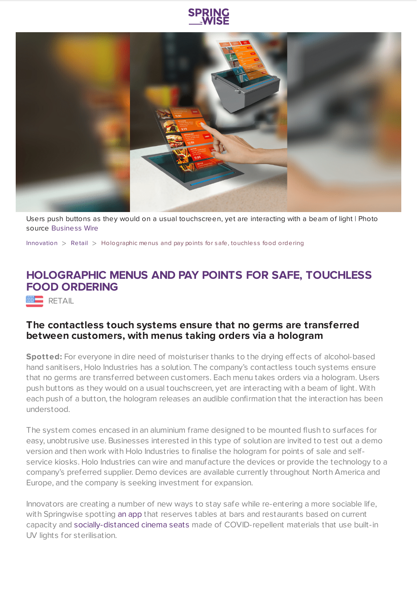



Users push buttons as they would on a usual touchscreen, yet are interacting with a beam of light | Photo source [Business](https://www.businesswire.com/news/home/20200714005340/en/Holo-Industries-Develops-Contactless-Touch-Holographic-Products-Germ-Free) Wire

[Innovation](https://www.springwise.com/search?type=innovation)  $>$  [Retail](https://www.springwise.com/search?type=innovation§or=retail)  $>$  Holographic menus and pay points for safe, touchless food ordering

## **HOLOGRAPHIC MENUS AND PAY POINTS FOR SAFE, TOUCHLESS FOOD ORDERING**

RETAIL

## **The contactless touch systems ensure that no germs are transferred between customers, with menus taking orders via a hologram**

**Spotted:** For everyone in dire need of moisturiser thanks to the drying effects of alcohol-based hand sanitisers, Holo Industries has a solution. The company's contactless touch systems ensure that no germs are transferred between customers. Each menu takes orders via a hologram. Users push buttons as they would on a usual touchscreen, yet are interacting with a beam of light. With each push of a button, the hologram releases an audible confirmation that the interaction has been understood.

The system comes encased in an aluminium frame designed to be mounted flush to surfaces for easy, unobtrusive use. Businesses interested in this type of solution are invited to test out a demo version and then work with Holo Industries to finalise the hologram for points of sale and selfservice kiosks. Holo Industries can wire and manufacture the devices or provide the technology to a company's preferred supplier. Demo devices are available currently throughout North America and Europe, and the company is seeking investment for expansion.

Innovators are creating a number of new ways to stay safe while re-entering a more sociable life, with Springwise spotting an [app](https://www.springwise.com/innovation/food-drink/stockholm-chris-mortimer-pub-app-social-distancing-coronavirus) that reserves tables at bars and restaurants based on current capacity and [socially-distanced](https://www.springwise.com/innovation/architecture-design/movie-theatre-cinema-seat-coronavirus) cinema seats made of COVID-repellent materials that use built-in UV lights for sterilisation.